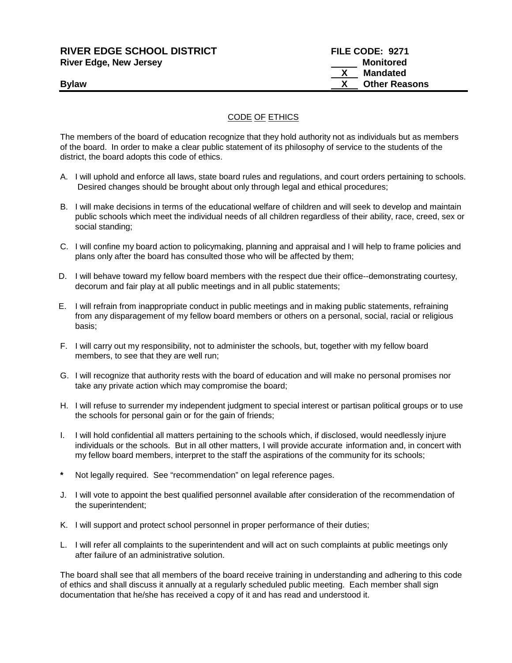| <b>RIVER EDGE SCHOOL DISTRICT</b> | FILE CODE: 9271      |
|-----------------------------------|----------------------|
| <b>River Edge, New Jersey</b>     | Monitored            |
|                                   | Mandated             |
| <b>Bylaw</b>                      | <b>Other Reasons</b> |
|                                   |                      |

## CODE OF ETHICS

The members of the board of education recognize that they hold authority not as individuals but as members of the board. In order to make a clear public statement of its philosophy of service to the students of the district, the board adopts this code of ethics.

- A. I will uphold and enforce all laws, state board rules and regulations, and court orders pertaining to schools. Desired changes should be brought about only through legal and ethical procedures;
- B. I will make decisions in terms of the educational welfare of children and will seek to develop and maintain public schools which meet the individual needs of all children regardless of their ability, race, creed, sex or social standing;
- C. I will confine my board action to policymaking, planning and appraisal and I will help to frame policies and plans only after the board has consulted those who will be affected by them;
- D. I will behave toward my fellow board members with the respect due their office--demonstrating courtesy, decorum and fair play at all public meetings and in all public statements;
- E. I will refrain from inappropriate conduct in public meetings and in making public statements, refraining from any disparagement of my fellow board members or others on a personal, social, racial or religious basis;
- F. I will carry out my responsibility, not to administer the schools, but, together with my fellow board members, to see that they are well run;
- G. I will recognize that authority rests with the board of education and will make no personal promises nor take any private action which may compromise the board;
- H. I will refuse to surrender my independent judgment to special interest or partisan political groups or to use the schools for personal gain or for the gain of friends;
- I. I will hold confidential all matters pertaining to the schools which, if disclosed, would needlessly injure individuals or the schools. But in all other matters, I will provide accurate information and, in concert with my fellow board members, interpret to the staff the aspirations of the community for its schools;
- **\*** Not legally required. See "recommendation" on legal reference pages.
- J. I will vote to appoint the best qualified personnel available after consideration of the recommendation of the superintendent;
- K. I will support and protect school personnel in proper performance of their duties;
- L. I will refer all complaints to the superintendent and will act on such complaints at public meetings only after failure of an administrative solution.

The board shall see that all members of the board receive training in understanding and adhering to this code of ethics and shall discuss it annually at a regularly scheduled public meeting. Each member shall sign documentation that he/she has received a copy of it and has read and understood it.